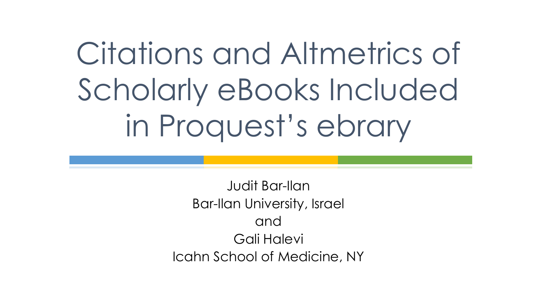# Citations and Altmetrics of Scholarly eBooks Included in Proquest's ebrary

Judit Bar-Ilan Bar-Ilan University, Israel and Gali Halevi Icahn School of Medicine, NY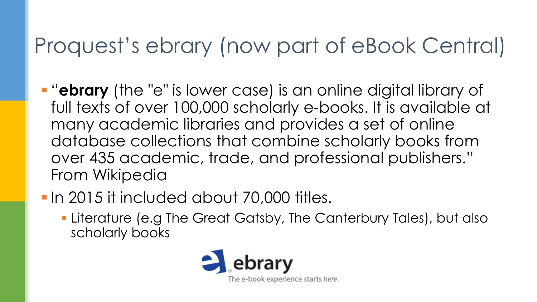#### Proquest's ebrary (now part of eBook Central)

- "**ebrary** (the "e" is lower case) is an online digital library of full texts of over 100,000 scholarly e-books. It is available at many academic libraries and provides a set of online database collections that combine scholarly books from over 435 academic, trade, and professional publishers." From Wikipedia
- **In 2015 it included about 70,000 titles.** 
	- **Example 12 Ferature (e.g The Great Gatsby, The Canterbury Tales), but also** scholarly books

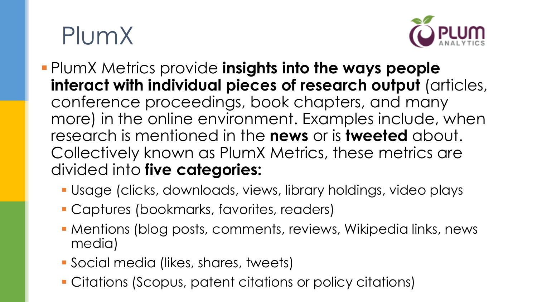## PlumX



- PlumX Metrics provide **insights into the ways people interact with individual pieces of research output** (articles, conference proceedings, book chapters, and many more) in the online environment. Examples include, when research is mentioned in the **news** or is **tweeted** about. Collectively known as PlumX Metrics, these metrics are divided into **five categories:** 
	- Usage (clicks, downloads, views, library holdings, video plays
	- Captures (bookmarks, favorites, readers)
	- **Mentions (blog posts, comments, reviews, Wikipedia links, news** media)
	- Social media (likes, shares, tweets)
	- Citations (Scopus, patent citations or policy citations)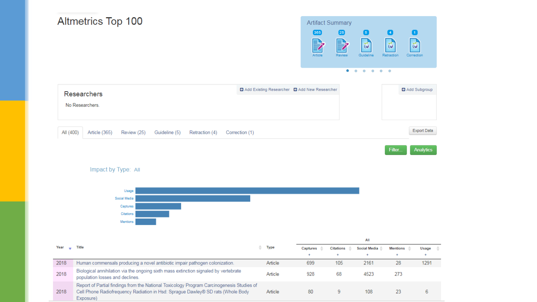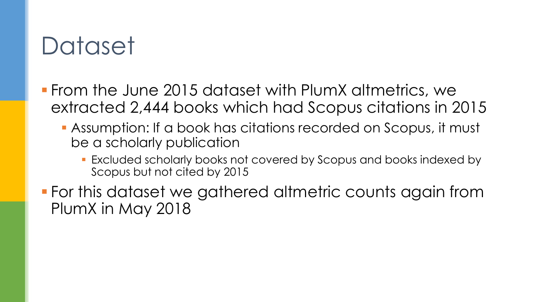### **Dataset**

- From the June 2015 dataset with PlumX altmetrics, we extracted 2,444 books which had Scopus citations in 2015
	- Assumption: If a book has citations recorded on Scopus, it must be a scholarly publication
		- **Excluded scholarly books not covered by Scopus and books indexed by** Scopus but not cited by 2015
- For this dataset we gathered altmetric counts again from PlumX in May 2018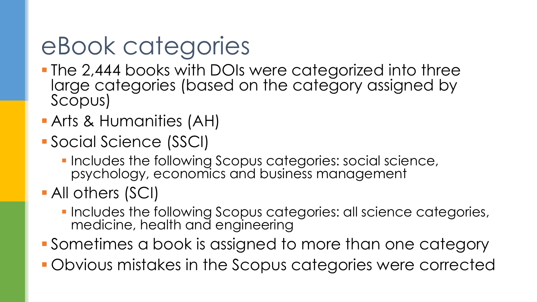## eBook categories

- **The 2,444 books with DOIs were categorized into three** large categories (based on the category assigned by Scopus)
- **Arts & Humanities (AH)**
- Social Science (SSCI)
	- **Includes the following Scopus categories: social science,** psychology, economics and business management
- All others (SCI)
	- **.** Includes the following Scopus categories: all science categories, medicine, health and engineering
- Sometimes a book is assigned to more than one category
- Obvious mistakes in the Scopus categories were corrected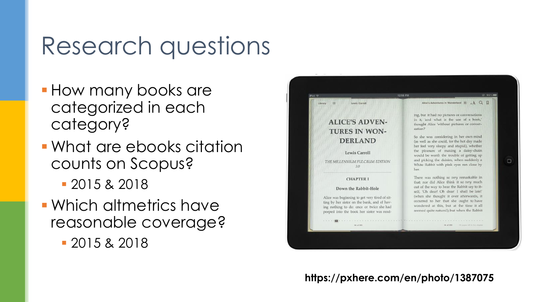#### Research questions

- **How many books are** categorized in each category?
- **What are ebooks citation** counts on Scopus?
	- 2015 & 2018
- Which altmetrics have reasonable coverage?
	- 2015 & 2018



**https://pxhere.com/en/photo/1387075**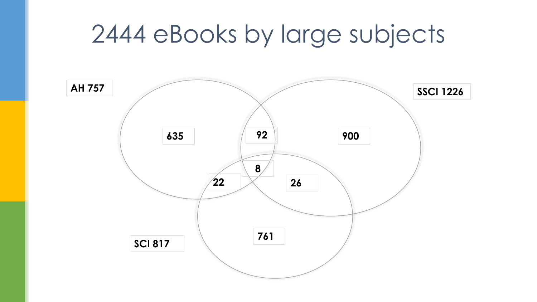#### 2444 eBooks by large subjects

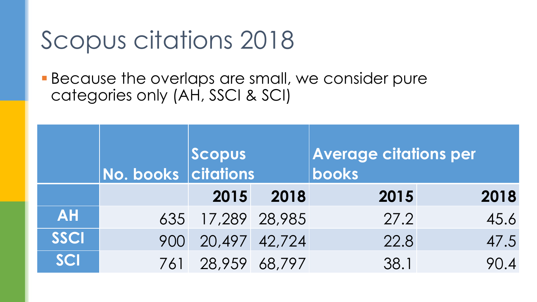## Scopus citations 2018

**Because the overlaps are small, we consider pure** categories only (AH, SSCI & SCI)

|             | No. books citations | Scopus            |      | <b>Average citations per</b><br>books |      |  |
|-------------|---------------------|-------------------|------|---------------------------------------|------|--|
|             |                     | 2015              | 2018 | 2015                                  | 2018 |  |
| <b>AH</b>   |                     | 635 17,289 28,985 |      | 27.2                                  | 45.6 |  |
| <b>SSCI</b> | 900                 | 20,497 42,724     |      | 22.8                                  | 47.5 |  |
| <b>SCI</b>  |                     | 761 28,959 68,797 |      | 38.1                                  | 90.4 |  |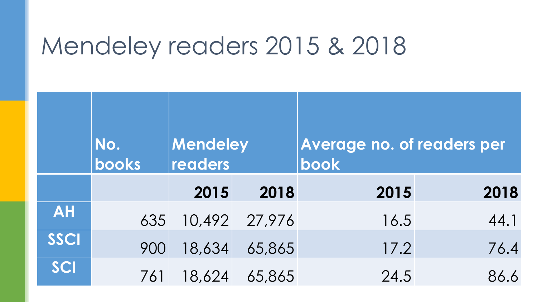#### Mendeley readers 2015 & 2018

|             | No.<br><b>books</b> | Mendeley<br>readers |               | Average no. of readers per<br>book |      |  |  |
|-------------|---------------------|---------------------|---------------|------------------------------------|------|--|--|
|             |                     | 2015                | 2018          | 2015                               | 2018 |  |  |
| <b>AH</b>   | 635                 |                     | 10,492 27,976 | 16.5                               | 44.1 |  |  |
| <b>SSCI</b> | 900                 | 18,634              | 65,865        | 17.2                               | 76.4 |  |  |
| SCI         | 761                 | 18,624              | 65,865        | 24.5                               | 86.6 |  |  |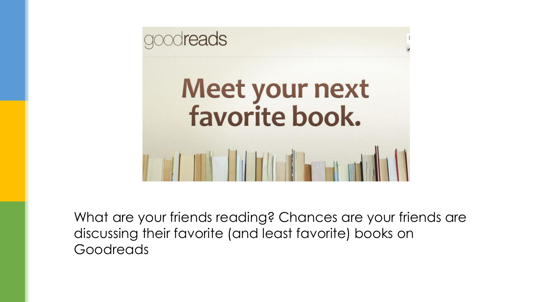

What are your friends reading? Chances are your friends are discussing their favorite (and least favorite) books on Goodreads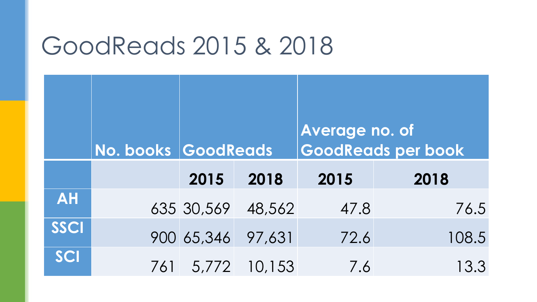#### GoodReads 2015 & 2018

|           |     | No. books GoodReads |                    | Average no. of<br><b>GoodReads per book</b> |       |  |
|-----------|-----|---------------------|--------------------|---------------------------------------------|-------|--|
|           |     | 2015                | 2018               | 2015                                        | 2018  |  |
| <b>AH</b> |     |                     | 635 30,569 48,562  | 47.8                                        | 76.5  |  |
| SSCI      |     |                     | 900 65,346 97,631  | 72.6                                        | 108.5 |  |
| SCI       | 761 |                     | $1, 5, 772$ 10,153 | 7.6                                         | 13.3  |  |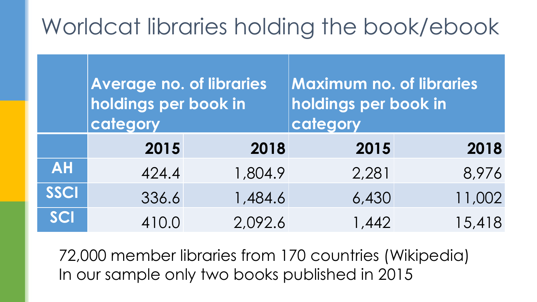#### Worldcat libraries holding the book/ebook

|           | <b>Average no. of libraries</b><br>holdings per book in<br>category |         | <b>Maximum no. of libraries</b><br>holdings per book in<br>category |        |  |
|-----------|---------------------------------------------------------------------|---------|---------------------------------------------------------------------|--------|--|
|           | 2015                                                                | 2018    | 2015                                                                | 2018   |  |
| <b>AH</b> | 424.4                                                               | 1,804.9 | 2,281                                                               | 8,976  |  |
| SSCI      | 336.6                                                               | 1,484.6 | 6,430                                                               | 11,002 |  |
| SCI       | 410.0                                                               | 2,092.6 | 1,442                                                               | 15,418 |  |

72,000 member libraries from 170 countries (Wikipedia) In our sample only two books published in 2015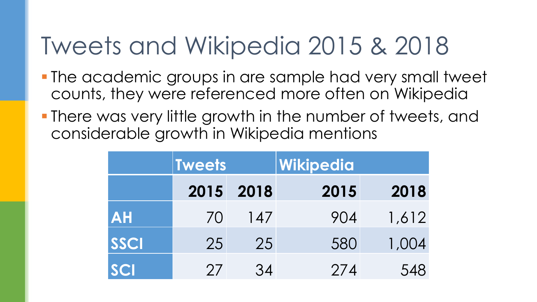## Tweets and Wikipedia 2015 & 2018

- The academic groups in are sample had very small tweet counts, they were referenced more often on Wikipedia
- **There was very little growth in the number of tweets, and** considerable growth in Wikipedia mentions

|             | <b>Tweets</b> |      | Wikipedia |       |  |  |
|-------------|---------------|------|-----------|-------|--|--|
|             | 2015          | 2018 | 2015      | 2018  |  |  |
| <b>AH</b>   | 70            | 147  | 904       | 1,612 |  |  |
| <b>SSCI</b> | 25            | 25   | 580       | 1,004 |  |  |
| <b>SCI</b>  | 27            | 34   | 274       | 548   |  |  |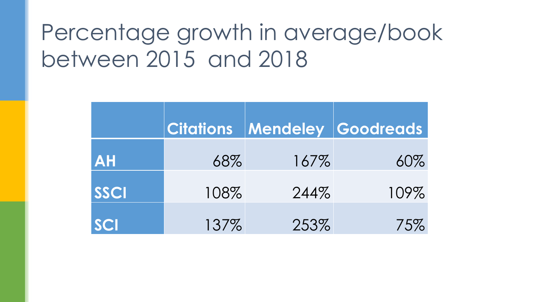#### Percentage growth in average/book between 2015 and 2018

|             |      |      | <b>Citations Mendeley Goodreads</b> |
|-------------|------|------|-------------------------------------|
| <b>AH</b>   | 68%  | 167% | 60%                                 |
| <b>SSCI</b> | 108% | 244% | 109%                                |
| <b>SCI</b>  | 137% | 253% | 75%                                 |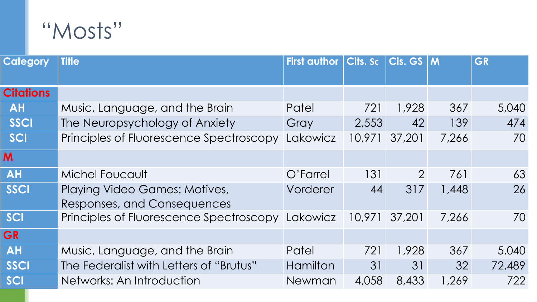#### "Mosts"

| <b>Category</b>  | <b>Title</b>                            | <b>First author</b> | Cits. Sc | $Cis.$ GS $ M$ |       | GR     |
|------------------|-----------------------------------------|---------------------|----------|----------------|-------|--------|
|                  |                                         |                     |          |                |       |        |
| <b>Citations</b> |                                         |                     |          |                |       |        |
| <b>AH</b>        | Music, Language, and the Brain          | Patel               | 721      | 1,928          | 367   | 5,040  |
| SSCI             | The Neuropsychology of Anxiety          | Gray                | 2,553    | 42             | 139   | 474    |
| SCI              | Principles of Fluorescence Spectroscopy | Lakowicz            | 10,971   | 37,201         | 7,266 | 70     |
| M                |                                         |                     |          |                |       |        |
| <b>AH</b>        | <b>Michel Foucault</b>                  | O'Farrel            | 131      | $\overline{2}$ | 761   | 63     |
| <b>SSCI</b>      | Playing Video Games: Motives,           | Vorderer            | 44       | 317            | 1,448 | 26     |
|                  | Responses, and Consequences             |                     |          |                |       |        |
| <u>Isci</u>      | Principles of Fluorescence Spectroscopy | Lakowicz            | 10,971   | 37,201         | 7,266 | 70     |
| <b>GR</b>        |                                         |                     |          |                |       |        |
| <b>AH</b>        | Music, Language, and the Brain          | Patel               | 721      | 1,928          | 367   | 5,040  |
| SSCI             | The Federalist with Letters of "Brutus" | <b>Hamilton</b>     | 31       | 31             | 32    | 72,489 |
| <b>SCI</b>       | Networks: An Introduction               | <b>Newman</b>       | 4,058    | 8,433          | 1,269 | 722    |